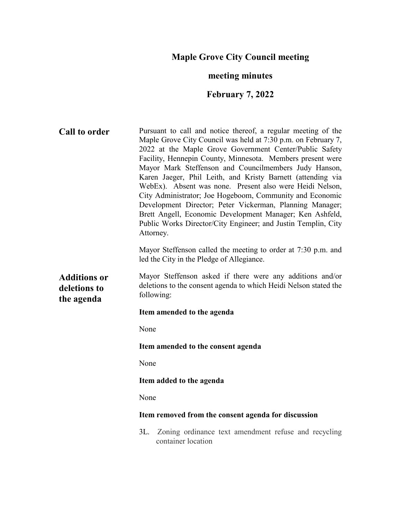# **Maple Grove City Council meeting**

# **meeting minutes**

# **February 7, 2022**

| <b>Call to order</b>                              | Pursuant to call and notice thereof, a regular meeting of the<br>Maple Grove City Council was held at 7:30 p.m. on February 7,<br>2022 at the Maple Grove Government Center/Public Safety<br>Facility, Hennepin County, Minnesota. Members present were<br>Mayor Mark Steffenson and Councilmembers Judy Hanson,<br>Karen Jaeger, Phil Leith, and Kristy Barnett (attending via<br>WebEx). Absent was none. Present also were Heidi Nelson,<br>City Administrator; Joe Hogeboom, Community and Economic<br>Development Director; Peter Vickerman, Planning Manager;<br>Brett Angell, Economic Development Manager; Ken Ashfeld,<br>Public Works Director/City Engineer; and Justin Templin, City<br>Attorney.<br>Mayor Steffenson called the meeting to order at 7:30 p.m. and |
|---------------------------------------------------|--------------------------------------------------------------------------------------------------------------------------------------------------------------------------------------------------------------------------------------------------------------------------------------------------------------------------------------------------------------------------------------------------------------------------------------------------------------------------------------------------------------------------------------------------------------------------------------------------------------------------------------------------------------------------------------------------------------------------------------------------------------------------------|
|                                                   | led the City in the Pledge of Allegiance.                                                                                                                                                                                                                                                                                                                                                                                                                                                                                                                                                                                                                                                                                                                                      |
| <b>Additions or</b><br>deletions to<br>the agenda | Mayor Steffenson asked if there were any additions and/or<br>deletions to the consent agenda to which Heidi Nelson stated the<br>following:                                                                                                                                                                                                                                                                                                                                                                                                                                                                                                                                                                                                                                    |
|                                                   | Item amended to the agenda                                                                                                                                                                                                                                                                                                                                                                                                                                                                                                                                                                                                                                                                                                                                                     |
|                                                   | None                                                                                                                                                                                                                                                                                                                                                                                                                                                                                                                                                                                                                                                                                                                                                                           |
|                                                   | Item amended to the consent agenda                                                                                                                                                                                                                                                                                                                                                                                                                                                                                                                                                                                                                                                                                                                                             |
|                                                   | None                                                                                                                                                                                                                                                                                                                                                                                                                                                                                                                                                                                                                                                                                                                                                                           |
|                                                   | Item added to the agenda                                                                                                                                                                                                                                                                                                                                                                                                                                                                                                                                                                                                                                                                                                                                                       |
|                                                   | None                                                                                                                                                                                                                                                                                                                                                                                                                                                                                                                                                                                                                                                                                                                                                                           |
|                                                   | Item removed from the consent agenda for discussion                                                                                                                                                                                                                                                                                                                                                                                                                                                                                                                                                                                                                                                                                                                            |
|                                                   | 3L.<br>Zoning ordinance text amendment refuse and recycling<br>container location                                                                                                                                                                                                                                                                                                                                                                                                                                                                                                                                                                                                                                                                                              |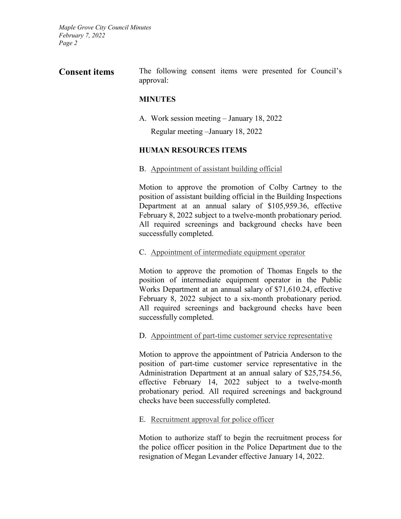**Consent items** The following consent items were presented for Council's approval:

### **MINUTES**

A. Work session meeting – January 18, 2022

Regular meeting –January 18, 2022

### **HUMAN RESOURCES ITEMS**

B. Appointment of assistant building official

Motion to approve the promotion of Colby Cartney to the position of assistant building official in the Building Inspections Department at an annual salary of \$105,959.36, effective February 8, 2022 subject to a twelve-month probationary period. All required screenings and background checks have been successfully completed.

#### C. Appointment of intermediate equipment operator

Motion to approve the promotion of Thomas Engels to the position of intermediate equipment operator in the Public Works Department at an annual salary of \$71,610.24, effective February 8, 2022 subject to a six-month probationary period. All required screenings and background checks have been successfully completed.

#### D. Appointment of part-time customer service representative

Motion to approve the appointment of Patricia Anderson to the position of part-time customer service representative in the Administration Department at an annual salary of \$25,754.56, effective February 14, 2022 subject to a twelve-month probationary period. All required screenings and background checks have been successfully completed.

#### E. Recruitment approval for police officer

Motion to authorize staff to begin the recruitment process for the police officer position in the Police Department due to the resignation of Megan Levander effective January 14, 2022.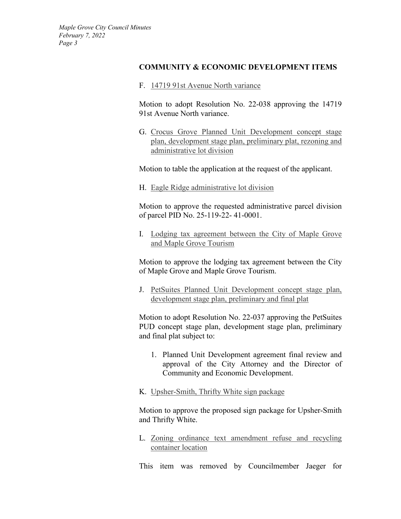#### **COMMUNITY & ECONOMIC DEVELOPMENT ITEMS**

F. 14719 91st Avenue North variance

Motion to adopt Resolution No. 22-038 approving the 14719 91st Avenue North variance.

G. Crocus Grove Planned Unit Development concept stage plan, development stage plan, preliminary plat, rezoning and administrative lot division

Motion to table the application at the request of the applicant.

H. Eagle Ridge administrative lot division

Motion to approve the requested administrative parcel division of parcel PID No. 25-119-22- 41-0001.

I. Lodging tax agreement between the City of Maple Grove and Maple Grove Tourism

Motion to approve the lodging tax agreement between the City of Maple Grove and Maple Grove Tourism.

J. PetSuites Planned Unit Development concept stage plan, development stage plan, preliminary and final plat

Motion to adopt Resolution No. 22-037 approving the PetSuites PUD concept stage plan, development stage plan, preliminary and final plat subject to:

- 1. Planned Unit Development agreement final review and approval of the City Attorney and the Director of Community and Economic Development.
- K. Upsher-Smith, Thrifty White sign package

Motion to approve the proposed sign package for Upsher-Smith and Thrifty White.

L. Zoning ordinance text amendment refuse and recycling container location

This item was removed by Councilmember Jaeger for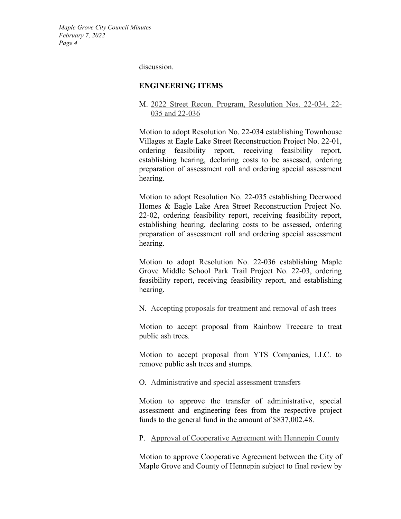discussion.

#### **ENGINEERING ITEMS**

M. 2022 Street Recon. Program, Resolution Nos. 22-034, 22- 035 and 22-036

Motion to adopt Resolution No. 22-034 establishing Townhouse Villages at Eagle Lake Street Reconstruction Project No. 22-01, ordering feasibility report, receiving feasibility report, establishing hearing, declaring costs to be assessed, ordering preparation of assessment roll and ordering special assessment hearing.

Motion to adopt Resolution No. 22-035 establishing Deerwood Homes & Eagle Lake Area Street Reconstruction Project No. 22-02, ordering feasibility report, receiving feasibility report, establishing hearing, declaring costs to be assessed, ordering preparation of assessment roll and ordering special assessment hearing.

Motion to adopt Resolution No. 22-036 establishing Maple Grove Middle School Park Trail Project No. 22-03, ordering feasibility report, receiving feasibility report, and establishing hearing.

#### N. Accepting proposals for treatment and removal of ash trees

Motion to accept proposal from Rainbow Treecare to treat public ash trees.

Motion to accept proposal from YTS Companies, LLC. to remove public ash trees and stumps.

#### O. Administrative and special assessment transfers

Motion to approve the transfer of administrative, special assessment and engineering fees from the respective project funds to the general fund in the amount of \$837,002.48.

P. Approval of Cooperative Agreement with Hennepin County

Motion to approve Cooperative Agreement between the City of Maple Grove and County of Hennepin subject to final review by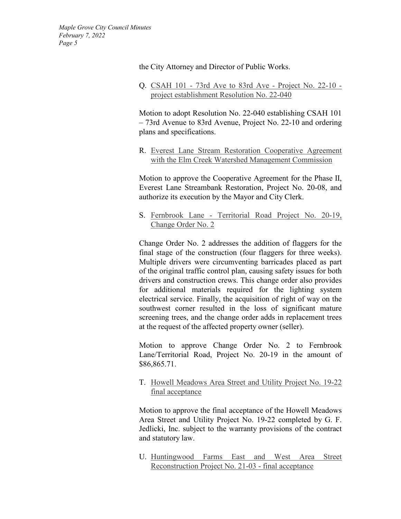the City Attorney and Director of Public Works.

Q. CSAH 101 - 73rd Ave to 83rd Ave - Project No. 22-10 project establishment Resolution No. 22-040

Motion to adopt Resolution No. 22-040 establishing CSAH 101 – 73rd Avenue to 83rd Avenue, Project No. 22-10 and ordering plans and specifications.

R. Everest Lane Stream Restoration Cooperative Agreement with the Elm Creek Watershed Management Commission

Motion to approve the Cooperative Agreement for the Phase II, Everest Lane Streambank Restoration, Project No. 20-08, and authorize its execution by the Mayor and City Clerk.

S. Fernbrook Lane - Territorial Road Project No. 20-19, Change Order No. 2

Change Order No. 2 addresses the addition of flaggers for the final stage of the construction (four flaggers for three weeks). Multiple drivers were circumventing barricades placed as part of the original traffic control plan, causing safety issues for both drivers and construction crews. This change order also provides for additional materials required for the lighting system electrical service. Finally, the acquisition of right of way on the southwest corner resulted in the loss of significant mature screening trees, and the change order adds in replacement trees at the request of the affected property owner (seller).

Motion to approve Change Order No. 2 to Fernbrook Lane/Territorial Road, Project No. 20-19 in the amount of \$86,865.71.

T. Howell Meadows Area Street and Utility Project No. 19-22 final acceptance

Motion to approve the final acceptance of the Howell Meadows Area Street and Utility Project No. 19-22 completed by G. F. Jedlicki, Inc. subject to the warranty provisions of the contract and statutory law.

U. Huntingwood Farms East and West Area Street Reconstruction Project No. 21-03 - final acceptance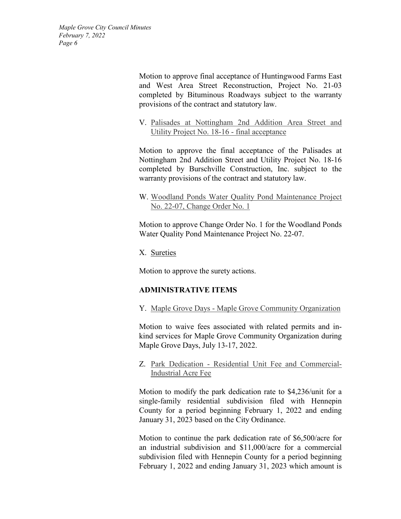> Motion to approve final acceptance of Huntingwood Farms East and West Area Street Reconstruction, Project No. 21-03 completed by Bituminous Roadways subject to the warranty provisions of the contract and statutory law.

> V. Palisades at Nottingham 2nd Addition Area Street and Utility Project No. 18-16 - final acceptance

> Motion to approve the final acceptance of the Palisades at Nottingham 2nd Addition Street and Utility Project No. 18-16 completed by Burschville Construction, Inc. subject to the warranty provisions of the contract and statutory law.

> W. Woodland Ponds Water Quality Pond Maintenance Project No. 22-07, Change Order No. 1

> Motion to approve Change Order No. 1 for the Woodland Ponds Water Quality Pond Maintenance Project No. 22-07.

X. Sureties

Motion to approve the surety actions.

## **ADMINISTRATIVE ITEMS**

Y. Maple Grove Days - Maple Grove Community Organization

Motion to waive fees associated with related permits and inkind services for Maple Grove Community Organization during Maple Grove Days, July 13-17, 2022.

Z. Park Dedication - Residential Unit Fee and Commercial-Industrial Acre Fee

Motion to modify the park dedication rate to \$4,236/unit for a single-family residential subdivision filed with Hennepin County for a period beginning February 1, 2022 and ending January 31, 2023 based on the City Ordinance.

Motion to continue the park dedication rate of \$6,500/acre for an industrial subdivision and \$11,000/acre for a commercial subdivision filed with Hennepin County for a period beginning February 1, 2022 and ending January 31, 2023 which amount is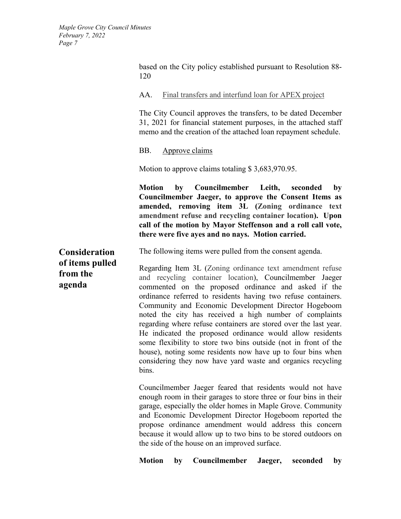based on the City policy established pursuant to Resolution 88- 120

AA. Final transfers and interfund loan for APEX project

The City Council approves the transfers, to be dated December 31, 2021 for financial statement purposes, in the attached staff memo and the creation of the attached loan repayment schedule.

BB. Approve claims

Motion to approve claims totaling \$3,683,970.95.

**Motion by Councilmember Leith, seconded by Councilmember Jaeger, to approve the Consent Items as amended, removing item 3L (Zoning ordinance text amendment refuse and recycling container location). Upon call of the motion by Mayor Steffenson and a roll call vote, there were five ayes and no nays. Motion carried.**

**Consideration of items pulled from the agenda**

The following items were pulled from the consent agenda.

Regarding Item 3L (Zoning ordinance text amendment refuse and recycling container location), Councilmember Jaeger commented on the proposed ordinance and asked if the ordinance referred to residents having two refuse containers. Community and Economic Development Director Hogeboom noted the city has received a high number of complaints regarding where refuse containers are stored over the last year. He indicated the proposed ordinance would allow residents some flexibility to store two bins outside (not in front of the house), noting some residents now have up to four bins when considering they now have yard waste and organics recycling bins.

Councilmember Jaeger feared that residents would not have enough room in their garages to store three or four bins in their garage, especially the older homes in Maple Grove. Community and Economic Development Director Hogeboom reported the propose ordinance amendment would address this concern because it would allow up to two bins to be stored outdoors on the side of the house on an improved surface.

**Motion by Councilmember Jaeger, seconded by**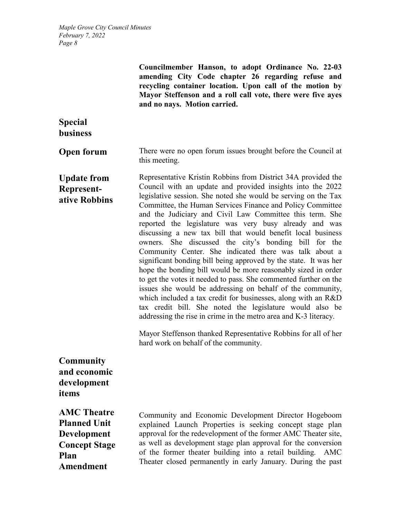**Councilmember Hanson, to adopt Ordinance No. 22-03 amending City Code chapter 26 regarding refuse and recycling container location. Upon call of the motion by Mayor Steffenson and a roll call vote, there were five ayes and no nays. Motion carried. Special business Open forum** There were no open forum issues brought before the Council at this meeting. **Update from Representative Robbins** Representative Kristin Robbins from District 34A provided the Council with an update and provided insights into the 2022 legislative session. She noted she would be serving on the Tax Committee, the Human Services Finance and Policy Committee and the Judiciary and Civil Law Committee this term. She reported the legislature was very busy already and was discussing a new tax bill that would benefit local business owners. She discussed the city's bonding bill for the Community Center. She indicated there was talk about a significant bonding bill being approved by the state. It was her hope the bonding bill would be more reasonably sized in order to get the votes it needed to pass. She commented further on the issues she would be addressing on behalf of the community, which included a tax credit for businesses, along with an R&D tax credit bill. She noted the legislature would also be addressing the rise in crime in the metro area and K-3 literacy. Mayor Steffenson thanked Representative Robbins for all of her hard work on behalf of the community. **Community and economic development items AMC Theatre Planned Unit Development Concept Stage Plan Amendment**  Community and Economic Development Director Hogeboom explained Launch Properties is seeking concept stage plan approval for the redevelopment of the former AMC Theater site, as well as development stage plan approval for the conversion of the former theater building into a retail building. AMC Theater closed permanently in early January. During the past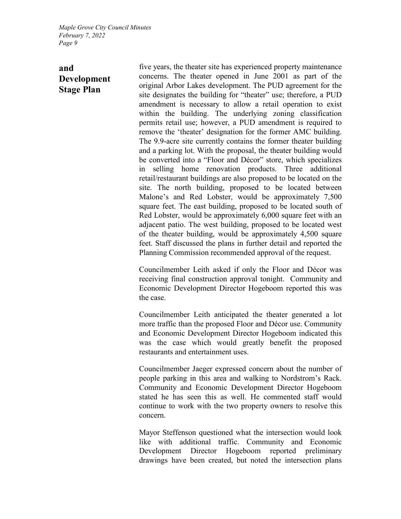# **and Development Stage Plan**

five years, the theater site has experienced property maintenance concerns. The theater opened in June 2001 as part of the original Arbor Lakes development. The PUD agreement for the site designates the building for "theater" use; therefore, a PUD amendment is necessary to allow a retail operation to exist within the building. The underlying zoning classification permits retail use; however, a PUD amendment is required to remove the 'theater' designation for the former AMC building. The 9.9-acre site currently contains the former theater building and a parking lot. With the proposal, the theater building would be converted into a "Floor and Décor" store, which specializes in selling home renovation products. Three additional retail/restaurant buildings are also proposed to be located on the site. The north building, proposed to be located between Malone's and Red Lobster, would be approximately 7,500 square feet. The east building, proposed to be located south of Red Lobster, would be approximately 6,000 square feet with an adjacent patio. The west building, proposed to be located west of the theater building, would be approximately 4,500 square feet. Staff discussed the plans in further detail and reported the Planning Commission recommended approval of the request.

Councilmember Leith asked if only the Floor and Décor was receiving final construction approval tonight. Community and Economic Development Director Hogeboom reported this was the case.

Councilmember Leith anticipated the theater generated a lot more traffic than the proposed Floor and Décor use. Community and Economic Development Director Hogeboom indicated this was the case which would greatly benefit the proposed restaurants and entertainment uses.

Councilmember Jaeger expressed concern about the number of people parking in this area and walking to Nordstrom's Rack. Community and Economic Development Director Hogeboom stated he has seen this as well. He commented staff would continue to work with the two property owners to resolve this concern.

Mayor Steffenson questioned what the intersection would look like with additional traffic. Community and Economic Development Director Hogeboom reported preliminary drawings have been created, but noted the intersection plans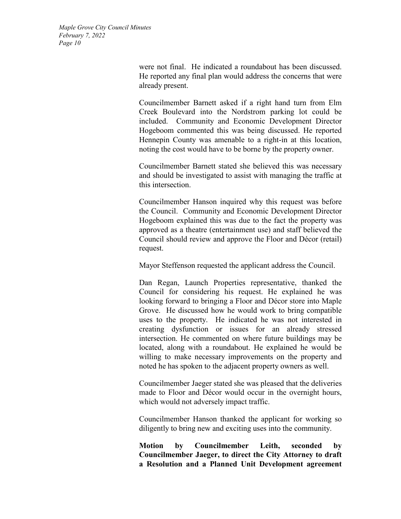> were not final. He indicated a roundabout has been discussed. He reported any final plan would address the concerns that were already present.

> Councilmember Barnett asked if a right hand turn from Elm Creek Boulevard into the Nordstrom parking lot could be included. Community and Economic Development Director Hogeboom commented this was being discussed. He reported Hennepin County was amenable to a right-in at this location, noting the cost would have to be borne by the property owner.

> Councilmember Barnett stated she believed this was necessary and should be investigated to assist with managing the traffic at this intersection.

> Councilmember Hanson inquired why this request was before the Council. Community and Economic Development Director Hogeboom explained this was due to the fact the property was approved as a theatre (entertainment use) and staff believed the Council should review and approve the Floor and Décor (retail) request.

Mayor Steffenson requested the applicant address the Council.

Dan Regan, Launch Properties representative, thanked the Council for considering his request. He explained he was looking forward to bringing a Floor and Décor store into Maple Grove. He discussed how he would work to bring compatible uses to the property. He indicated he was not interested in creating dysfunction or issues for an already stressed intersection. He commented on where future buildings may be located, along with a roundabout. He explained he would be willing to make necessary improvements on the property and noted he has spoken to the adjacent property owners as well.

Councilmember Jaeger stated she was pleased that the deliveries made to Floor and Décor would occur in the overnight hours, which would not adversely impact traffic.

Councilmember Hanson thanked the applicant for working so diligently to bring new and exciting uses into the community.

**Motion by Councilmember Leith, seconded by Councilmember Jaeger, to direct the City Attorney to draft a Resolution and a Planned Unit Development agreement**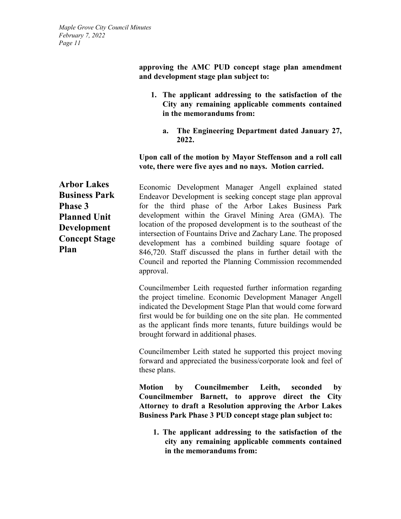**approving the AMC PUD concept stage plan amendment and development stage plan subject to:** 

- **1. The applicant addressing to the satisfaction of the City any remaining applicable comments contained in the memorandums from:** 
	- **a. The Engineering Department dated January 27, 2022.**

### **Upon call of the motion by Mayor Steffenson and a roll call vote, there were five ayes and no nays. Motion carried.**

**Arbor Lakes Business Park Phase 3 Planned Unit Development Concept Stage Plan** 

Economic Development Manager Angell explained stated Endeavor Development is seeking concept stage plan approval for the third phase of the Arbor Lakes Business Park development within the Gravel Mining Area (GMA). The location of the proposed development is to the southeast of the intersection of Fountains Drive and Zachary Lane. The proposed development has a combined building square footage of 846,720. Staff discussed the plans in further detail with the Council and reported the Planning Commission recommended approval.

Councilmember Leith requested further information regarding the project timeline. Economic Development Manager Angell indicated the Development Stage Plan that would come forward first would be for building one on the site plan. He commented as the applicant finds more tenants, future buildings would be brought forward in additional phases.

Councilmember Leith stated he supported this project moving forward and appreciated the business/corporate look and feel of these plans.

**Motion by Councilmember Leith, seconded by Councilmember Barnett, to approve direct the City Attorney to draft a Resolution approving the Arbor Lakes Business Park Phase 3 PUD concept stage plan subject to:** 

**1. The applicant addressing to the satisfaction of the city any remaining applicable comments contained in the memorandums from:**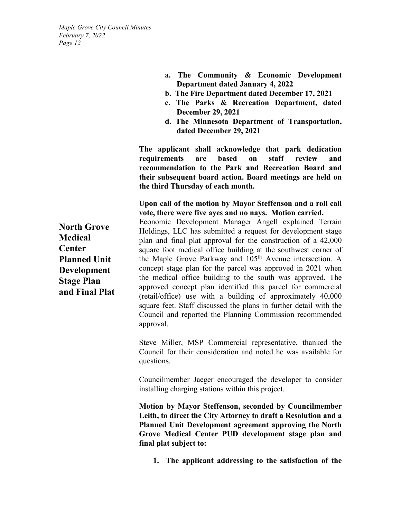- **a. The Community & Economic Development Department dated January 4, 2022**
- **b. The Fire Department dated December 17, 2021**
- **c. The Parks & Recreation Department, dated December 29, 2021**
- **d. The Minnesota Department of Transportation, dated December 29, 2021**

**The applicant shall acknowledge that park dedication requirements are based on staff review and recommendation to the Park and Recreation Board and their subsequent board action. Board meetings are held on the third Thursday of each month.** 

**Upon call of the motion by Mayor Steffenson and a roll call vote, there were five ayes and no nays. Motion carried.**

Economic Development Manager Angell explained Terrain Holdings, LLC has submitted a request for development stage plan and final plat approval for the construction of a 42,000 square foot medical office building at the southwest corner of the Maple Grove Parkway and 105th Avenue intersection. A concept stage plan for the parcel was approved in 2021 when the medical office building to the south was approved. The approved concept plan identified this parcel for commercial (retail/office) use with a building of approximately 40,000 square feet. Staff discussed the plans in further detail with the Council and reported the Planning Commission recommended approval.

Steve Miller, MSP Commercial representative, thanked the Council for their consideration and noted he was available for questions.

Councilmember Jaeger encouraged the developer to consider installing charging stations within this project.

**Motion by Mayor Steffenson, seconded by Councilmember Leith, to direct the City Attorney to draft a Resolution and a Planned Unit Development agreement approving the North Grove Medical Center PUD development stage plan and final plat subject to:** 

**1. The applicant addressing to the satisfaction of the** 

**North Grove Medical Center Planned Unit Development Stage Plan and Final Plat**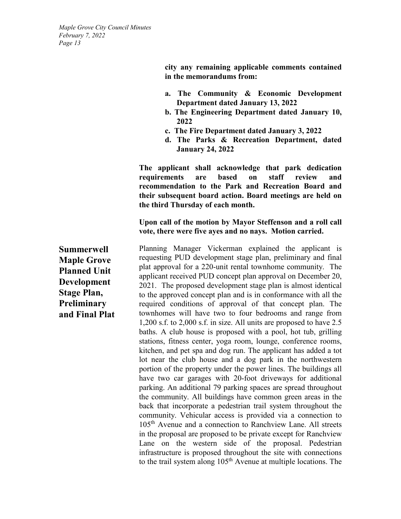> **city any remaining applicable comments contained in the memorandums from:**

- **a. The Community & Economic Development Department dated January 13, 2022**
- **b. The Engineering Department dated January 10, 2022**
- **c. The Fire Department dated January 3, 2022**
- **d. The Parks & Recreation Department, dated January 24, 2022**

**The applicant shall acknowledge that park dedication requirements are based on staff review and recommendation to the Park and Recreation Board and their subsequent board action. Board meetings are held on the third Thursday of each month.** 

**Upon call of the motion by Mayor Steffenson and a roll call vote, there were five ayes and no nays. Motion carried.**

Planning Manager Vickerman explained the applicant is requesting PUD development stage plan, preliminary and final plat approval for a 220-unit rental townhome community. The applicant received PUD concept plan approval on December 20, 2021. The proposed development stage plan is almost identical to the approved concept plan and is in conformance with all the required conditions of approval of that concept plan. The townhomes will have two to four bedrooms and range from 1,200 s.f. to 2,000 s.f. in size. All units are proposed to have 2.5 baths. A club house is proposed with a pool, hot tub, grilling stations, fitness center, yoga room, lounge, conference rooms, kitchen, and pet spa and dog run. The applicant has added a tot lot near the club house and a dog park in the northwestern portion of the property under the power lines. The buildings all have two car garages with 20-foot driveways for additional parking. An additional 79 parking spaces are spread throughout the community. All buildings have common green areas in the back that incorporate a pedestrian trail system throughout the community. Vehicular access is provided via a connection to 105th Avenue and a connection to Ranchview Lane. All streets in the proposal are proposed to be private except for Ranchview Lane on the western side of the proposal. Pedestrian infrastructure is proposed throughout the site with connections to the trail system along  $105<sup>th</sup>$  Avenue at multiple locations. The

**Summerwell Maple Grove Planned Unit Development Stage Plan, Preliminary and Final Plat**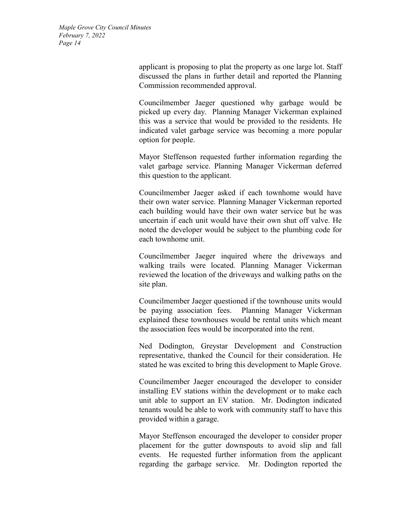> applicant is proposing to plat the property as one large lot. Staff discussed the plans in further detail and reported the Planning Commission recommended approval.

> Councilmember Jaeger questioned why garbage would be picked up every day. Planning Manager Vickerman explained this was a service that would be provided to the residents. He indicated valet garbage service was becoming a more popular option for people.

> Mayor Steffenson requested further information regarding the valet garbage service. Planning Manager Vickerman deferred this question to the applicant.

> Councilmember Jaeger asked if each townhome would have their own water service. Planning Manager Vickerman reported each building would have their own water service but he was uncertain if each unit would have their own shut off valve. He noted the developer would be subject to the plumbing code for each townhome unit.

> Councilmember Jaeger inquired where the driveways and walking trails were located. Planning Manager Vickerman reviewed the location of the driveways and walking paths on the site plan.

> Councilmember Jaeger questioned if the townhouse units would be paying association fees. Planning Manager Vickerman explained these townhouses would be rental units which meant the association fees would be incorporated into the rent.

> Ned Dodington, Greystar Development and Construction representative, thanked the Council for their consideration. He stated he was excited to bring this development to Maple Grove.

> Councilmember Jaeger encouraged the developer to consider installing EV stations within the development or to make each unit able to support an EV station. Mr. Dodington indicated tenants would be able to work with community staff to have this provided within a garage.

> Mayor Steffenson encouraged the developer to consider proper placement for the gutter downspouts to avoid slip and fall events. He requested further information from the applicant regarding the garbage service. Mr. Dodington reported the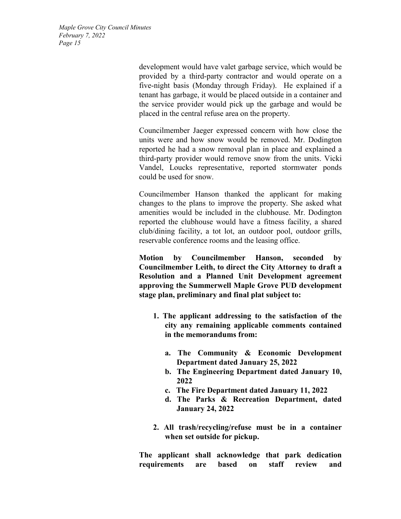> development would have valet garbage service, which would be provided by a third-party contractor and would operate on a five-night basis (Monday through Friday). He explained if a tenant has garbage, it would be placed outside in a container and the service provider would pick up the garbage and would be placed in the central refuse area on the property.

> Councilmember Jaeger expressed concern with how close the units were and how snow would be removed. Mr. Dodington reported he had a snow removal plan in place and explained a third-party provider would remove snow from the units. Vicki Vandel, Loucks representative, reported stormwater ponds could be used for snow.

> Councilmember Hanson thanked the applicant for making changes to the plans to improve the property. She asked what amenities would be included in the clubhouse. Mr. Dodington reported the clubhouse would have a fitness facility, a shared club/dining facility, a tot lot, an outdoor pool, outdoor grills, reservable conference rooms and the leasing office.

> **Motion by Councilmember Hanson, seconded by Councilmember Leith, to direct the City Attorney to draft a Resolution and a Planned Unit Development agreement approving the Summerwell Maple Grove PUD development stage plan, preliminary and final plat subject to:**

- **1. The applicant addressing to the satisfaction of the city any remaining applicable comments contained in the memorandums from:** 
	- **a. The Community & Economic Development Department dated January 25, 2022**
	- **b. The Engineering Department dated January 10, 2022**
	- **c. The Fire Department dated January 11, 2022**
	- **d. The Parks & Recreation Department, dated January 24, 2022**
- **2. All trash/recycling/refuse must be in a container when set outside for pickup.**

**The applicant shall acknowledge that park dedication requirements are based on staff review and**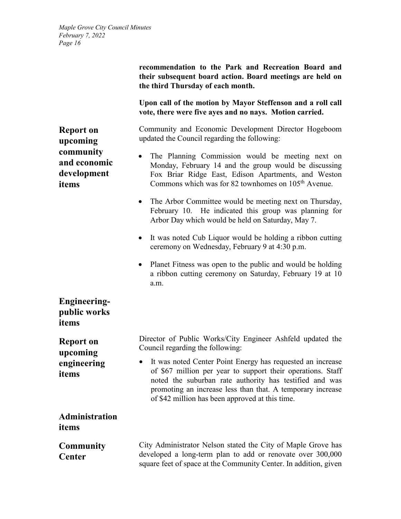> **recommendation to the Park and Recreation Board and their subsequent board action. Board meetings are held on the third Thursday of each month.**

> **Upon call of the motion by Mayor Steffenson and a roll call vote, there were five ayes and no nays. Motion carried.**

> Community and Economic Development Director Hogeboom updated the Council regarding the following:

- The Planning Commission would be meeting next on Monday, February 14 and the group would be discussing Fox Briar Ridge East, Edison Apartments, and Weston Commons which was for 82 townhomes on 105<sup>th</sup> Avenue.
- The Arbor Committee would be meeting next on Thursday, February 10. He indicated this group was planning for Arbor Day which would be held on Saturday, May 7.
- It was noted Cub Liquor would be holding a ribbon cutting ceremony on Wednesday, February 9 at 4:30 p.m.
- Planet Fitness was open to the public and would be holding a ribbon cutting ceremony on Saturday, February 19 at 10 a.m.

square feet of space at the Community Center. In addition, given

**public works items Report on upcoming engineering items** Director of Public Works/City Engineer Ashfeld updated the Council regarding the following: • It was noted Center Point Energy has requested an increase of \$67 million per year to support their operations. Staff noted the suburban rate authority has testified and was promoting an increase less than that. A temporary increase of \$42 million has been approved at this time. **Administration items Community Center**  City Administrator Nelson stated the City of Maple Grove has developed a long-term plan to add or renovate over 300,000

**Report on upcoming community and economic development items**

**Engineering-**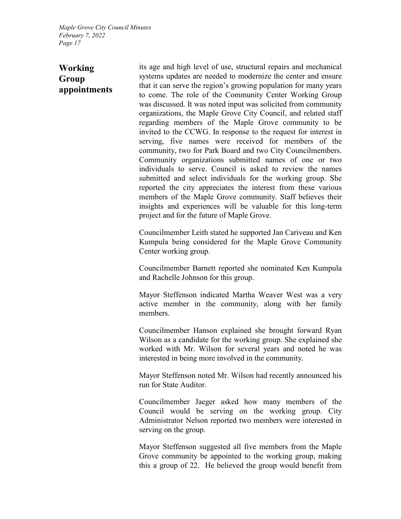# **Working Group appointments**

its age and high level of use, structural repairs and mechanical systems updates are needed to modernize the center and ensure that it can serve the region's growing population for many years to come. The role of the Community Center Working Group was discussed. It was noted input was solicited from community organizations, the Maple Grove City Council, and related staff regarding members of the Maple Grove community to be invited to the CCWG. In response to the request for interest in serving, five names were received for members of the community, two for Park Board and two City Councilmembers. Community organizations submitted names of one or two individuals to serve. Council is asked to review the names submitted and select individuals for the working group. She reported the city appreciates the interest from these various members of the Maple Grove community. Staff believes their insights and experiences will be valuable for this long-term project and for the future of Maple Grove.

Councilmember Leith stated he supported Jan Cariveau and Ken Kumpula being considered for the Maple Grove Community Center working group.

Councilmember Barnett reported she nominated Ken Kumpula and Rachelle Johnson for this group.

Mayor Steffenson indicated Martha Weaver West was a very active member in the community, along with her family members.

Councilmember Hanson explained she brought forward Ryan Wilson as a candidate for the working group. She explained she worked with Mr. Wilson for several years and noted he was interested in being more involved in the community.

Mayor Steffenson noted Mr. Wilson had recently announced his run for State Auditor.

Councilmember Jaeger asked how many members of the Council would be serving on the working group. City Administrator Nelson reported two members were interested in serving on the group.

Mayor Steffenson suggested all five members from the Maple Grove community be appointed to the working group, making this a group of 22. He believed the group would benefit from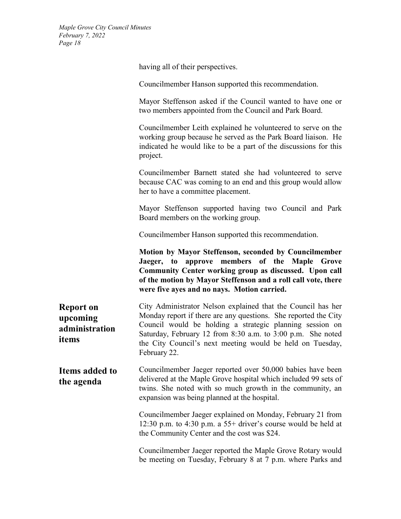having all of their perspectives.

Councilmember Hanson supported this recommendation.

Mayor Steffenson asked if the Council wanted to have one or two members appointed from the Council and Park Board.

Councilmember Leith explained he volunteered to serve on the working group because he served as the Park Board liaison. He indicated he would like to be a part of the discussions for this project.

Councilmember Barnett stated she had volunteered to serve because CAC was coming to an end and this group would allow her to have a committee placement.

Mayor Steffenson supported having two Council and Park Board members on the working group.

Councilmember Hanson supported this recommendation.

**Motion by Mayor Steffenson, seconded by Councilmember Jaeger, to approve members of the Maple Grove Community Center working group as discussed. Upon call of the motion by Mayor Steffenson and a roll call vote, there were five ayes and no nays. Motion carried.**

**Report on upcoming administration items** City Administrator Nelson explained that the Council has her Monday report if there are any questions. She reported the City Council would be holding a strategic planning session on Saturday, February 12 from 8:30 a.m. to 3:00 p.m. She noted the City Council's next meeting would be held on Tuesday, February 22.

**Items added to the agenda** Councilmember Jaeger reported over 50,000 babies have been delivered at the Maple Grove hospital which included 99 sets of twins. She noted with so much growth in the community, an expansion was being planned at the hospital.

> Councilmember Jaeger explained on Monday, February 21 from 12:30 p.m. to 4:30 p.m. a 55+ driver's course would be held at the Community Center and the cost was \$24.

> Councilmember Jaeger reported the Maple Grove Rotary would be meeting on Tuesday, February 8 at 7 p.m. where Parks and